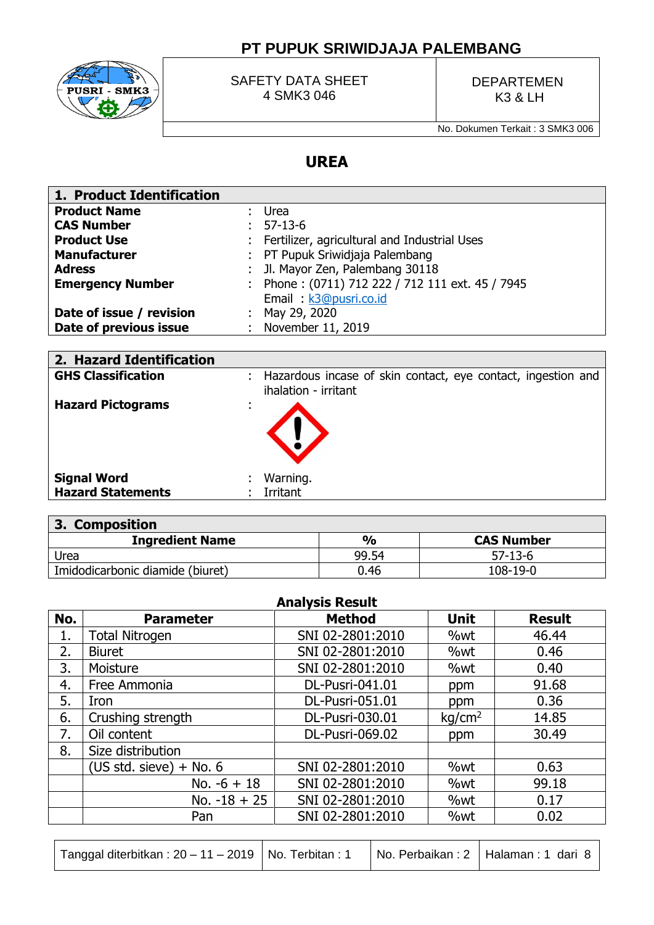# **PT PUPUK SRIWIDJAJA PALEMBANG**



SAFETY DATA SHEET 4 SMK3 046

DEPARTEMEN K3 & LH

No. Dokumen Terkait : 3 SMK3 006

## **UREA**

| 1. Product Identification |    |                                                  |
|---------------------------|----|--------------------------------------------------|
| <b>Product Name</b>       |    | Urea                                             |
| <b>CAS Number</b>         |    | $57 - 13 - 6$                                    |
| <b>Product Use</b>        |    | : Fertilizer, agricultural and Industrial Uses   |
| <b>Manufacturer</b>       |    | : PT Pupuk Sriwidjaja Palembang                  |
| <b>Adress</b>             |    | Jl. Mayor Zen, Palembang 30118                   |
| <b>Emergency Number</b>   |    | : Phone: (0711) 712 222 / 712 111 ext. 45 / 7945 |
|                           |    | Email: k3@pusri.co.id                            |
| Date of issue / revision  | ÷. | May 29, 2020                                     |
| Date of previous issue    |    | : November 11, 2019                              |

| 2. Hazard Identification                       |                                                                                      |
|------------------------------------------------|--------------------------------------------------------------------------------------|
| <b>GHS Classification</b>                      | Hazardous incase of skin contact, eye contact, ingestion and<br>ihalation - irritant |
| <b>Hazard Pictograms</b>                       |                                                                                      |
| <b>Signal Word</b><br><b>Hazard Statements</b> | Warning.<br>Irritant                                                                 |
|                                                |                                                                                      |

| 3. Composition                   |               |                   |  |  |  |
|----------------------------------|---------------|-------------------|--|--|--|
| <b>Ingredient Name</b>           | $\frac{1}{2}$ | <b>CAS Number</b> |  |  |  |
| Urea                             | 99.54         | $57 - 13 - 6$     |  |  |  |
| Imidodicarbonic diamide (biuret) | 0.46          | 108-19-0          |  |  |  |

|     | <b>Analysis Result</b>    |                        |                    |               |  |  |  |  |
|-----|---------------------------|------------------------|--------------------|---------------|--|--|--|--|
| No. | <b>Parameter</b>          | <b>Method</b>          | <b>Unit</b>        | <b>Result</b> |  |  |  |  |
| 1.  | <b>Total Nitrogen</b>     | SNI 02-2801:2010       | %wt                | 46.44         |  |  |  |  |
| 2.  | <b>Biuret</b>             | SNI 02-2801:2010       | %wt                | 0.46          |  |  |  |  |
| 3.  | Moisture                  | SNI 02-2801:2010       | %wt                | 0.40          |  |  |  |  |
| 4.  | Free Ammonia              | DL-Pusri-041.01        | ppm                | 91.68         |  |  |  |  |
| 5.  | Iron                      | <b>DL-Pusri-051.01</b> | ppm                | 0.36          |  |  |  |  |
| 6.  | Crushing strength         | DL-Pusri-030.01        | kg/cm <sup>2</sup> | 14.85         |  |  |  |  |
| 7.  | Oil content               | DL-Pusri-069.02        | ppm                | 30.49         |  |  |  |  |
| 8.  | Size distribution         |                        |                    |               |  |  |  |  |
|     | $(US std. sieve) + No. 6$ | SNI 02-2801:2010       | %wt                | 0.63          |  |  |  |  |
|     | No. $-6 + 18$             | SNI 02-2801:2010       | %wt                | 99.18         |  |  |  |  |
|     | No. $-18 + 25$            | SNI 02-2801:2010       | %wt                | 0.17          |  |  |  |  |
|     | Pan                       | SNI 02-2801:2010       | %wt                | 0.02          |  |  |  |  |
|     |                           |                        |                    |               |  |  |  |  |

Tanggal diterbitkan : 20 – 11 – 2019 | No. Terbitan : 1 | No. Perbaikan : 2 | Halaman : 1 dari 8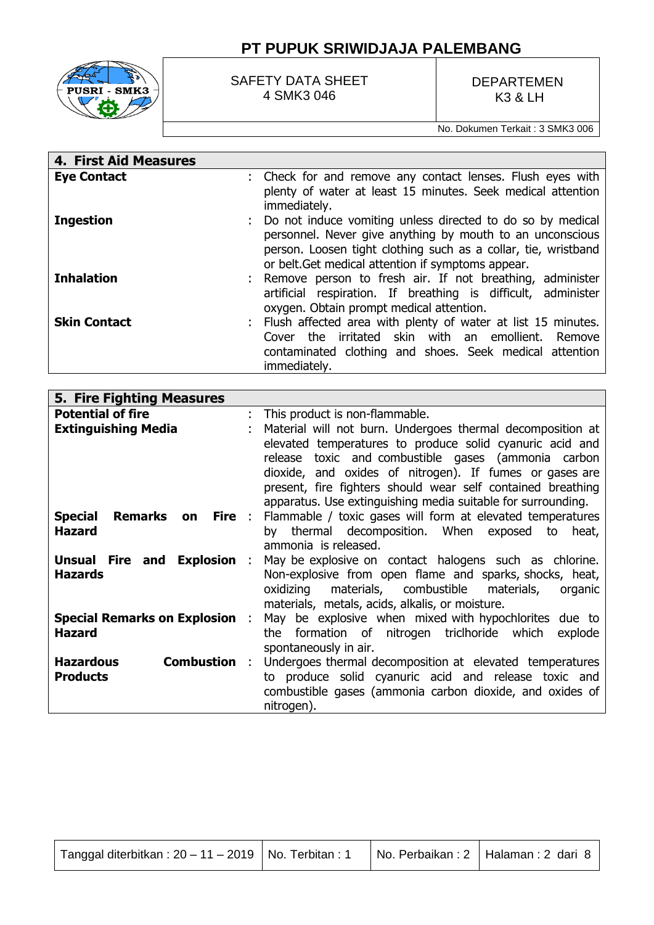

### SAFETY DATA SHEET 4 SMK3 046

### DEPARTEMEN K3 & LH

No. Dokumen Terkait : 3 SMK3 006

| 4. First Aid Measures |                                                                                                                                                                                                                                                   |
|-----------------------|---------------------------------------------------------------------------------------------------------------------------------------------------------------------------------------------------------------------------------------------------|
| <b>Eye Contact</b>    | : Check for and remove any contact lenses. Flush eyes with<br>plenty of water at least 15 minutes. Seek medical attention<br>immediately.                                                                                                         |
| <b>Ingestion</b>      | : Do not induce vomiting unless directed to do so by medical<br>personnel. Never give anything by mouth to an unconscious<br>person. Loosen tight clothing such as a collar, tie, wristband<br>or belt. Get medical attention if symptoms appear. |
| <b>Inhalation</b>     | : Remove person to fresh air. If not breathing, administer<br>artificial respiration. If breathing is difficult, administer<br>oxygen. Obtain prompt medical attention.                                                                           |
| <b>Skin Contact</b>   | : Flush affected area with plenty of water at list 15 minutes.<br>irritated skin with an emollient.<br>Cover the<br>Remove<br>contaminated clothing and shoes. Seek medical attention<br>immediately.                                             |

| 5. Fire Fighting Measures                                                       |    |                                                                                                                                                                                                                                                                                                            |
|---------------------------------------------------------------------------------|----|------------------------------------------------------------------------------------------------------------------------------------------------------------------------------------------------------------------------------------------------------------------------------------------------------------|
| <b>Potential of fire</b>                                                        | ÷. | This product is non-flammable.                                                                                                                                                                                                                                                                             |
| <b>Extinguishing Media</b>                                                      |    | Material will not burn. Undergoes thermal decomposition at<br>elevated temperatures to produce solid cyanuric acid and<br>toxic and combustible gases (ammonia carbon<br>release<br>dioxide, and oxides of nitrogen). If fumes or gases are<br>present, fire fighters should wear self contained breathing |
| <b>Special</b><br><b>Remarks</b><br><b>Fire</b> :<br><b>on</b><br><b>Hazard</b> |    | apparatus. Use extinguishing media suitable for surrounding.<br>Flammable / toxic gases will form at elevated temperatures<br>thermal decomposition. When exposed<br>heat,<br>to<br>bv<br>ammonia is released.                                                                                             |
| Unsual Fire and Explosion :<br><b>Hazards</b>                                   |    | May be explosive on contact halogens such as chlorine.<br>Non-explosive from open flame and sparks, shocks, heat,<br>materials, combustible materials,<br>oxidizing<br>organic<br>materials, metals, acids, alkalis, or moisture.                                                                          |
| <b>Special Remarks on Explosion :</b><br><b>Hazard</b>                          |    | May be explosive when mixed with hypochlorites due to<br>formation of nitrogen triclhoride which<br>the<br>explode<br>spontaneously in air.                                                                                                                                                                |
| <b>Combustion :</b><br><b>Hazardous</b><br><b>Products</b>                      |    | Undergoes thermal decomposition at elevated temperatures<br>to produce solid cyanuric acid and release toxic and<br>combustible gases (ammonia carbon dioxide, and oxides of<br>nitrogen).                                                                                                                 |

| Tanggal diterbitkan: 20 - 11 - 2019   No. Terbitan: 1 |  |  | No. Perbaikan: 2   Halaman: 2 dari 8 |
|-------------------------------------------------------|--|--|--------------------------------------|
|-------------------------------------------------------|--|--|--------------------------------------|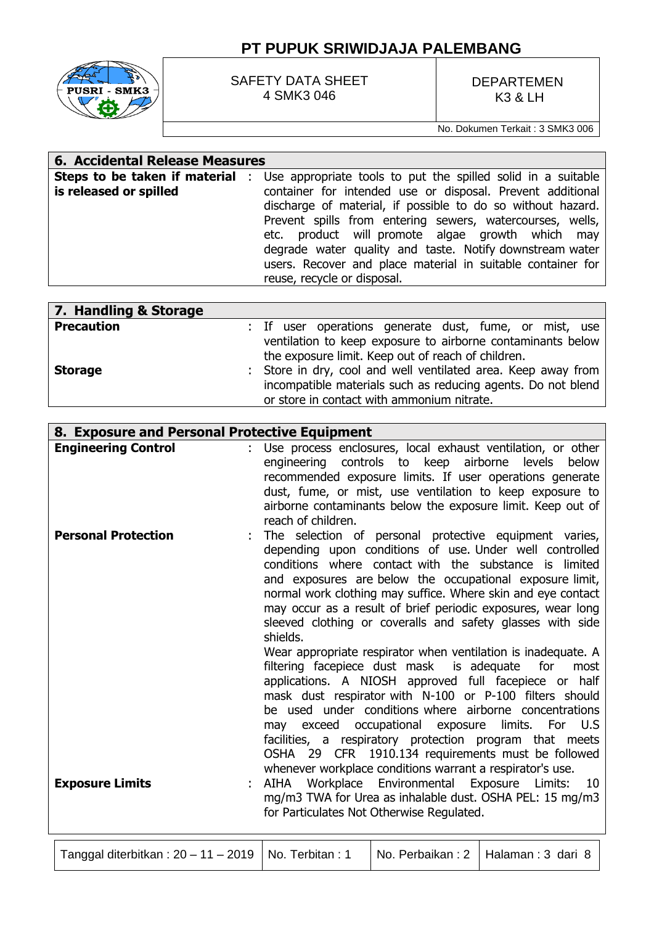# **PT PUPUK SRIWIDJAJA PALEMBANG**



SAFETY DATA SHEET 4 SMK3 046

DEPARTEMEN K3 & LH

No. Dokumen Terkait : 3 SMK3 006

#### **6. Accidental Release Measures Steps to be taken if material**  : Use appropriate tools to put the spilled solid in a suitable **is released or spilled** container for intended use or disposal. Prevent additional discharge of material, if possible to do so without hazard. Prevent spills from entering sewers, watercourses, wells, etc. product will promote algae growth which may degrade water quality and taste. Notify downstream water users. Recover and place material in suitable container for reuse, recycle or disposal.

| 7. Handling & Storage |                                                               |
|-----------------------|---------------------------------------------------------------|
| <b>Precaution</b>     | : If user operations generate dust, fume, or mist, use        |
|                       | ventilation to keep exposure to airborne contaminants below   |
|                       | the exposure limit. Keep out of reach of children.            |
| <b>Storage</b>        | : Store in dry, cool and well ventilated area. Keep away from |
|                       | incompatible materials such as reducing agents. Do not blend  |
|                       | or store in contact with ammonium nitrate.                    |

| 8. Exposure and Personal Protective Equipment |                                                                                                                                                                                                                                                                                                                                                                                                                                                                                                                                                                                                                                                                                                                                                                                                                                                                                                                                       |
|-----------------------------------------------|---------------------------------------------------------------------------------------------------------------------------------------------------------------------------------------------------------------------------------------------------------------------------------------------------------------------------------------------------------------------------------------------------------------------------------------------------------------------------------------------------------------------------------------------------------------------------------------------------------------------------------------------------------------------------------------------------------------------------------------------------------------------------------------------------------------------------------------------------------------------------------------------------------------------------------------|
| <b>Engineering Control</b>                    | Use process enclosures, local exhaust ventilation, or other<br>engineering controls to keep<br>airborne<br>levels<br>below<br>recommended exposure limits. If user operations generate<br>dust, fume, or mist, use ventilation to keep exposure to<br>airborne contaminants below the exposure limit. Keep out of<br>reach of children.                                                                                                                                                                                                                                                                                                                                                                                                                                                                                                                                                                                               |
| <b>Personal Protection</b>                    | The selection of personal protective equipment varies,<br>depending upon conditions of use. Under well controlled<br>conditions where contact with the substance is limited<br>and exposures are below the occupational exposure limit,<br>normal work clothing may suffice. Where skin and eye contact<br>may occur as a result of brief periodic exposures, wear long<br>sleeved clothing or coveralls and safety glasses with side<br>shields.<br>Wear appropriate respirator when ventilation is inadequate. A<br>filtering facepiece dust mask is adequate<br>for<br>most<br>applications. A NIOSH approved full facepiece or half<br>mask dust respirator with N-100 or P-100 filters should<br>be used under conditions where airborne concentrations<br>may exceed occupational exposure<br>limits. For U.S.<br>facilities, a respiratory protection program that meets<br>OSHA 29 CFR 1910.134 requirements must be followed |
| <b>Exposure Limits</b>                        | whenever workplace conditions warrant a respirator's use.<br>Workplace Environmental Exposure Limits:<br>AIHA<br>10<br>mg/m3 TWA for Urea as inhalable dust. OSHA PEL: 15 mg/m3<br>for Particulates Not Otherwise Regulated.                                                                                                                                                                                                                                                                                                                                                                                                                                                                                                                                                                                                                                                                                                          |

| Tanggal diterbitkan : 20 – 11 – 2019   No. Terbitan : 1 |  |  | No. Perbaikan: 2   Halaman: 3 dari 8 |
|---------------------------------------------------------|--|--|--------------------------------------|
|---------------------------------------------------------|--|--|--------------------------------------|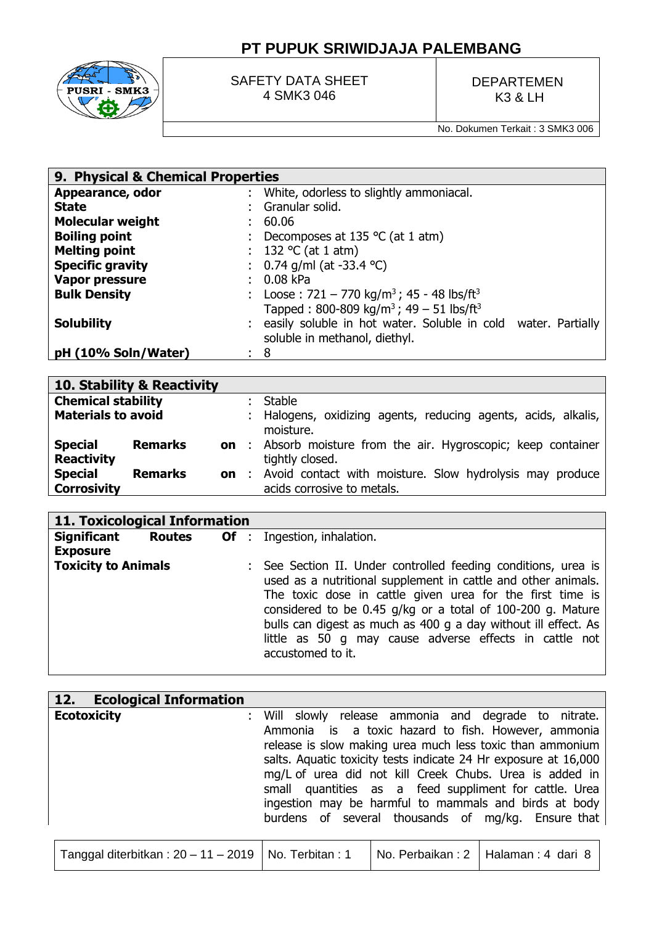

SAFETY DATA SHEET 4 SMK3 046

DEPARTEMEN K3 & LH

No. Dokumen Terkait : 3 SMK3 006

| 9. Physical & Chemical Properties |  |                                                                      |  |  |
|-----------------------------------|--|----------------------------------------------------------------------|--|--|
| Appearance, odor                  |  | : White, odorless to slightly ammoniacal.                            |  |  |
| <b>State</b>                      |  | Granular solid.                                                      |  |  |
| <b>Molecular weight</b>           |  | 60.06                                                                |  |  |
| <b>Boiling point</b>              |  | : Decomposes at 135 $\degree$ C (at 1 atm)                           |  |  |
| <b>Melting point</b>              |  | : 132 °C (at 1 atm)                                                  |  |  |
| <b>Specific gravity</b>           |  | : $0.74$ g/ml (at -33.4 °C)                                          |  |  |
| <b>Vapor pressure</b>             |  | 0.08 kPa                                                             |  |  |
| <b>Bulk Density</b>               |  | : Loose: $721 - 770$ kg/m <sup>3</sup> ; 45 - 48 lbs/ft <sup>3</sup> |  |  |
|                                   |  | Tapped: 800-809 kg/m <sup>3</sup> ; 49 - 51 lbs/ft <sup>3</sup>      |  |  |
| <b>Solubility</b>                 |  | : easily soluble in hot water. Soluble in cold water. Partially      |  |  |
|                                   |  | soluble in methanol, diethyl.                                        |  |  |
| pH (10% Soln/Water)               |  | 8                                                                    |  |  |

|                                      | 10. Stability & Reactivity |     |                                                                                          |
|--------------------------------------|----------------------------|-----|------------------------------------------------------------------------------------------|
| <b>Chemical stability</b>            |                            |     | Stable                                                                                   |
| <b>Materials to avoid</b>            |                            |     | : Halogens, oxidizing agents, reducing agents, acids, alkalis,<br>moisture.              |
| <b>Special</b><br><b>Reactivity</b>  | <b>Remarks</b>             |     | <b>on</b> : Absorb moisture from the air. Hygroscopic; keep container<br>tightly closed. |
| <b>Special</b><br><b>Corrosivity</b> | <b>Remarks</b>             | on: | Avoid contact with moisture. Slow hydrolysis may produce<br>acids corrosive to metals.   |

| 11. Toxicological Information |  |  |  |                                                                                                                                                                                                                                                                                                                                                                                                             |  |  |  |
|-------------------------------|--|--|--|-------------------------------------------------------------------------------------------------------------------------------------------------------------------------------------------------------------------------------------------------------------------------------------------------------------------------------------------------------------------------------------------------------------|--|--|--|
|                               |  |  |  | <b>Significant Routes Of</b> : Ingestion, inhalation.                                                                                                                                                                                                                                                                                                                                                       |  |  |  |
| <b>Exposure</b>               |  |  |  |                                                                                                                                                                                                                                                                                                                                                                                                             |  |  |  |
| <b>Toxicity to Animals</b>    |  |  |  | : See Section II. Under controlled feeding conditions, urea is<br>used as a nutritional supplement in cattle and other animals.<br>The toxic dose in cattle given urea for the first time is<br>considered to be 0.45 g/kg or a total of 100-200 g. Mature<br>bulls can digest as much as 400 g a day without ill effect. As<br>little as 50 g may cause adverse effects in cattle not<br>accustomed to it. |  |  |  |

| <b>Ecological Information</b><br>12.  |                 |                                                                                                                                                                                                                                                                                                                                                                                                                                                                                |
|---------------------------------------|-----------------|--------------------------------------------------------------------------------------------------------------------------------------------------------------------------------------------------------------------------------------------------------------------------------------------------------------------------------------------------------------------------------------------------------------------------------------------------------------------------------|
| <b>Ecotoxicity</b>                    |                 | Will slowly release ammonia and degrade to nitrate.<br>Ammonia is a toxic hazard to fish. However, ammonia<br>release is slow making urea much less toxic than ammonium<br>salts. Aquatic toxicity tests indicate 24 Hr exposure at 16,000<br>mg/L of urea did not kill Creek Chubs. Urea is added in<br>small quantities as a feed suppliment for cattle. Urea<br>ingestion may be harmful to mammals and birds at body<br>burdens of several thousands of mg/kg. Ensure that |
| Tanggal diterbitkan: $20 - 11 - 2019$ | No. Terbitan: 1 | No. Perbaikan: 2   Halaman: 4 dari 8                                                                                                                                                                                                                                                                                                                                                                                                                                           |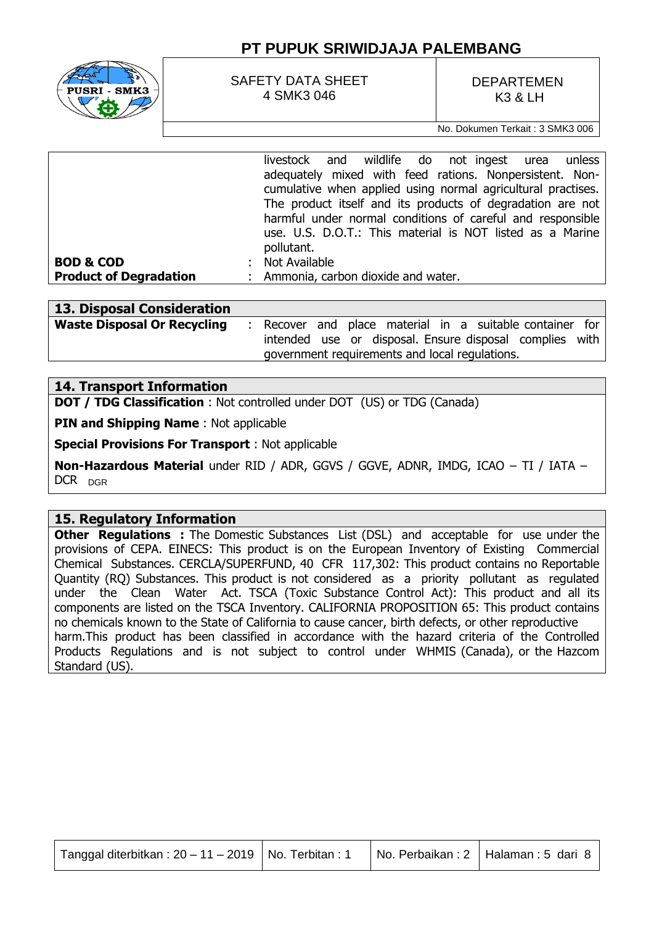

SAFETY DATA SHEET 4 SMK3 046

DEPARTEMEN K3 & LH

No. Dokumen Terkait : 3 SMK3 006

|                               | livestock and wildlife do not ingest urea<br>unless          |  |  |  |  |  |
|-------------------------------|--------------------------------------------------------------|--|--|--|--|--|
|                               | adequately mixed with feed rations. Nonpersistent. Non-      |  |  |  |  |  |
|                               | cumulative when applied using normal agricultural practises. |  |  |  |  |  |
|                               | The product itself and its products of degradation are not   |  |  |  |  |  |
|                               | harmful under normal conditions of careful and responsible   |  |  |  |  |  |
|                               | use. U.S. D.O.T.: This material is NOT listed as a Marine    |  |  |  |  |  |
|                               | pollutant.                                                   |  |  |  |  |  |
| <b>BOD &amp; COD</b>          | Not Available                                                |  |  |  |  |  |
| <b>Product of Degradation</b> | : Ammonia, carbon dioxide and water.                         |  |  |  |  |  |
|                               |                                                              |  |  |  |  |  |

| 13. Disposal Consideration         |                                                |  |  |  |  |                                                         |  |
|------------------------------------|------------------------------------------------|--|--|--|--|---------------------------------------------------------|--|
| <b>Waste Disposal Or Recycling</b> |                                                |  |  |  |  | Recover and place material in a suitable container for  |  |
|                                    |                                                |  |  |  |  | intended use or disposal. Ensure disposal complies with |  |
|                                    | government requirements and local regulations. |  |  |  |  |                                                         |  |

### **14. Transport Information**

**DOT / TDG Classification** : Not controlled under DOT (US) or TDG (Canada)

**PIN and Shipping Name** : Not applicable

**Special Provisions For Transport** : Not applicable

**Non-Hazardous Material** under RID / ADR, GGVS / GGVE, ADNR, IMDG, ICAO – TI / IATA – DCR DGR

#### **15. Regulatory Information**

**Other Regulations :** The Domestic Substances List (DSL) and acceptable for use under the provisions of CEPA. EINECS: This product is on the European Inventory of Existing Commercial Chemical Substances. CERCLA/SUPERFUND, 40 CFR 117,302: This product contains no Reportable Quantity (RQ) Substances. This product is not considered as a priority pollutant as regulated under the Clean Water Act. TSCA (Toxic Substance Control Act): This product and all its components are listed on the TSCA Inventory. CALIFORNIA PROPOSITION 65: This product contains no chemicals known to the State of California to cause cancer, birth defects, or other reproductive harm.This product has been classified in accordance with the hazard criteria of the Controlled Products Regulations and is not subject to control under WHMIS (Canada), or the Hazcom Standard (US).

| Tanggal diterbitkan: $20 - 11 - 2019$   No. Terbitan: 1 |  |  | No. Perbaikan: 2   Halaman: 5 dari 8 |
|---------------------------------------------------------|--|--|--------------------------------------|
|---------------------------------------------------------|--|--|--------------------------------------|